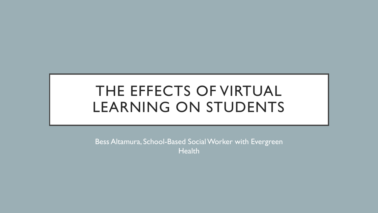# THE EFFECTS OF VIRTUAL LEARNING ON STUDENTS

Bess Altamura, School-Based Social Worker with Evergreen **Health**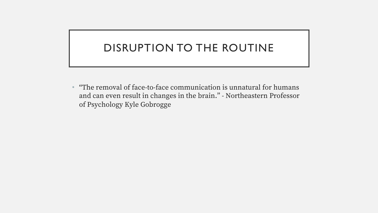## DISRUPTION TO THE ROUTINE

• "The removal of face-to-face communication is unnatural for humans and can even result in changes in the brain." - Northeastern Professor of Psychology Kyle Gobrogge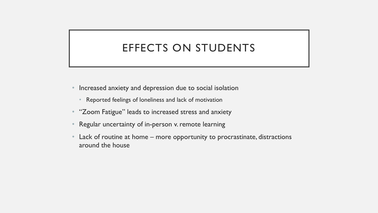## EFFECTS ON STUDENTS

- Increased anxiety and depression due to social isolation
	- Reported feelings of loneliness and lack of motivation
- "Zoom Fatigue" leads to increased stress and anxiety
- Regular uncertainty of in-person v. remote learning
- Lack of routine at home more opportunity to procrastinate, distractions around the house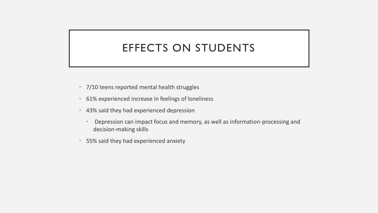## EFFECTS ON STUDENTS

- 7/10 teens reported mental health struggles
- 61% experienced increase in feelings of loneliness
- 43% said they had experienced depression
	- Depression can impact focus and memory, as well as information-processing and decision-making skills
- 55% said they had experienced anxiety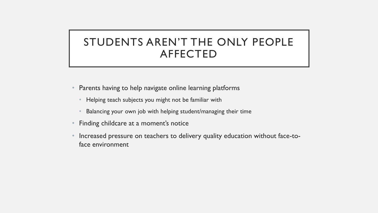## STUDENTS AREN'T THE ONLY PEOPLE AFFECTED

- Parents having to help navigate online learning platforms
	- Helping teach subjects you might not be familiar with
	- Balancing your own job with helping student/managing their time
- Finding childcare at a moment's notice
- Increased pressure on teachers to delivery quality education without face-toface environment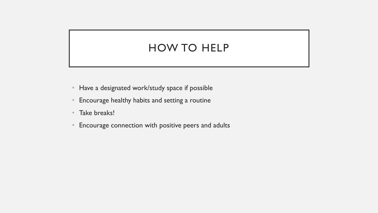#### HOW TO HELP

- Have a designated work/study space if possible
- Encourage healthy habits and setting a routine
- Take breaks!
- Encourage connection with positive peers and adults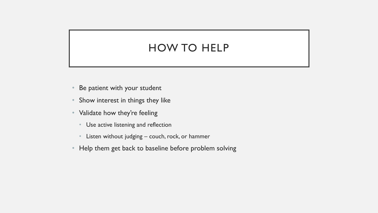#### HOW TO HELP

- Be patient with your student
- Show interest in things they like
- Validate how they're feeling
	- Use active listening and reflection
	- Listen without judging couch, rock, or hammer
- Help them get back to baseline before problem solving